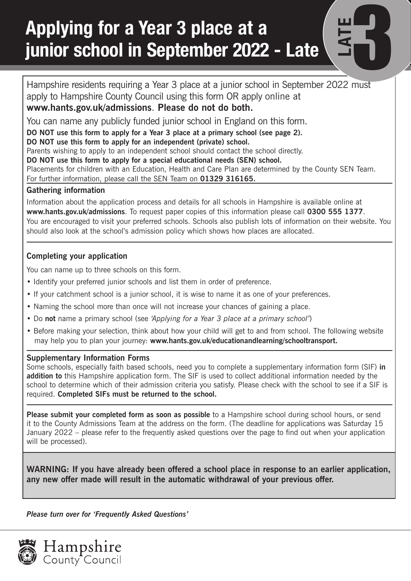## **Applying for a Year 3 place at a junior school in September 2022 - Late Late** 3 **PM**

Hampshire residents requiring a Year 3 place at a junior school in September 2022 must apply to Hampshire County Council using this form OR apply online at **www.hants.gov.uk/admissions**. **Please do not do both.** 

**LATE**

You can name any publicly funded junior school in England on this form.

**DO NOT use this form to apply for a Year 3 place at a primary school (see page 2).**

**DO NOT use this form to apply for an independent (private) school.**

Parents wishing to apply to an independent school should contact the school directly.

**DO NOT use this form to apply for a special educational needs (SEN) school.**

Placements for children with an Education, Health and Care Plan are determined by the County SEN Team.

For further information, please call the SEN Team on **01329 316165.**

#### **Gathering information**

Information about the application process and details for all schools in Hampshire is available online at **www.hants.gov.uk/admissions**. To request paper copies of this information please call **0300 555 1377**. You are encouraged to visit your preferred schools. Schools also publish lots of information on their website. You should also look at the school's admission policy which shows how places are allocated.

#### **Completing your application**

You can name up to three schools on this form.

- Identify your preferred junior schools and list them in order of preference.
- If your catchment school is a junior school, it is wise to name it as one of your preferences.
- Naming the school more than once will not increase your chances of gaining a place.
- Do **not** name a primary school (see *'Applying for a Year 3 place at a primary school'*)
- Before making your selection, think about how your child will get to and from school. The following website may help you to plan your journey: **www.hants.gov.uk/educationandlearning/schooltransport.**

#### **Supplementary Information Forms**

Some schools, especially faith based schools, need you to complete a supplementary information form (SIF) **in addition to** this Hampshire application form. The SIF is used to collect additional information needed by the school to determine which of their admission criteria you satisfy. Please check with the school to see if a SIF is required. **Completed SIFs must be returned to the school.** 

**Please submit your completed form as soon as possible** to a Hampshire school during school hours, or send it to the County Admissions Team at the address on the form. (The deadline for applications was Saturday 15 January 2022 – please refer to the frequently asked questions over the page to find out when your application will be processed).

**WARNING: If you have already been offered a school place in response to an earlier application, any new offer made will result in the automatic withdrawal of your previous offer.** 

*Please turn over for 'Frequently Asked Questions'*

**Hampshire**<br>County Council

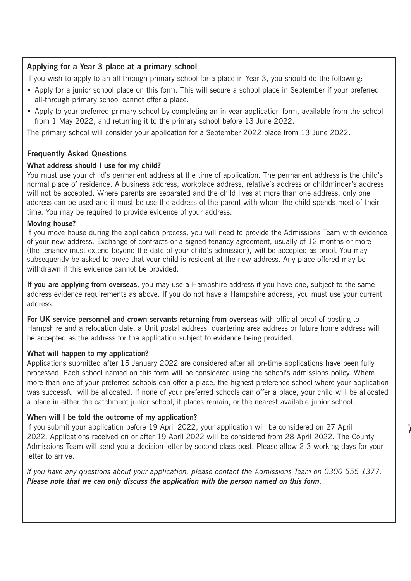#### **Applying for a Year 3 place at a primary school**

If you wish to apply to an all-through primary school for a place in Year 3, you should do the following:

- Apply for a junior school place on this form. This will secure a school place in September if your preferred all-through primary school cannot offer a place.
- Apply to your preferred primary school by completing an in-year application form, available from the school from 1 May 2022, and returning it to the primary school before 13 June 2022.

The primary school will consider your application for a September 2022 place from 13 June 2022.

#### **Frequently Asked Questions**

#### **What address should I use for my child?**

You must use your child's permanent address at the time of application. The permanent address is the child's normal place of residence. A business address, workplace address, relative's address or childminder's address will not be accepted. Where parents are separated and the child lives at more than one address, only one address can be used and it must be use the address of the parent with whom the child spends most of their time. You may be required to provide evidence of your address.

#### **Moving house?**

If you move house during the application process, you will need to provide the Admissions Team with evidence of your new address. Exchange of contracts or a signed tenancy agreement, usually of 12 months or more (the tenancy must extend beyond the date of your child's admission), will be accepted as proof. You may subsequently be asked to prove that your child is resident at the new address. Any place offered may be withdrawn if this evidence cannot be provided.

**If you are applying from overseas**, you may use a Hampshire address if you have one, subject to the same address evidence requirements as above. If you do not have a Hampshire address, you must use your current address.

**For UK service personnel and crown servants returning from overseas** with official proof of posting to Hampshire and a relocation date, a Unit postal address, quartering area address or future home address will be accepted as the address for the application subject to evidence being provided.

#### **What will happen to my application?**

Applications submitted after 15 January 2022 are considered after all on-time applications have been fully processed. Each school named on this form will be considered using the school's admissions policy. Where more than one of your preferred schools can offer a place, the highest preference school where your application was successful will be allocated. If none of your preferred schools can offer a place, your child will be allocated a place in either the catchment junior school, if places remain, or the nearest available junior school.

#### **When will I be told the outcome of my application?**

If you submit your application before 19 April 2022, your application will be considered on 27 April 2022. Applications received on or after 19 April 2022 will be considered from 28 April 2022. The County Admissions Team will send you a decision letter by second class post. Please allow 2-3 working days for your letter to arrive.

*If you have any questions about your application, please contact the Admissions Team on 0300 555 1377. Please note that we can only discuss the application with the person named on this form.*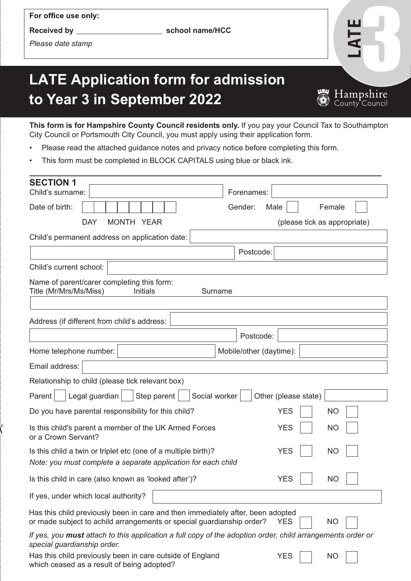For office use only:

**Received by school name/HCC** 

*Please date stamp*

# LATE

### **LATE Application form for admission to Year 3 in September 2022**



**This form is for Hampshire County Council residents only.** If you pay your Council Tax to Southampton City Council or Portsmouth City Council, you must apply using their application form.

- Please read the attached guidance notes and privacy notice before completing this form.
- This form must be completed in BLOCK CAPITALS using blue or black ink.

| <b>SECTION 1</b>                                                                                                                                                       |                              |  |  |  |
|------------------------------------------------------------------------------------------------------------------------------------------------------------------------|------------------------------|--|--|--|
| Child's surname:                                                                                                                                                       | Forenames:                   |  |  |  |
| Date of birth:<br>MONTH YEAR<br><b>DAY</b>                                                                                                                             | Gender:<br>Male<br>Female    |  |  |  |
|                                                                                                                                                                        | (please tick as appropriate) |  |  |  |
| Child's permanent address on application date:                                                                                                                         |                              |  |  |  |
|                                                                                                                                                                        | Postcode:                    |  |  |  |
| Child's current school:                                                                                                                                                |                              |  |  |  |
| Name of parent/carer completing this form:<br>Title (Mr/Mrs/Ms/Miss)<br>Initials<br>Surname                                                                            |                              |  |  |  |
|                                                                                                                                                                        |                              |  |  |  |
| Address (if different from child's address:                                                                                                                            |                              |  |  |  |
|                                                                                                                                                                        | Postcode:                    |  |  |  |
| Home telephone number:                                                                                                                                                 | Mobile/other (daytime):      |  |  |  |
| Email address:                                                                                                                                                         |                              |  |  |  |
| Relationship to child (please tick relevant box)                                                                                                                       |                              |  |  |  |
| Legal guardian<br>Step parent<br>Social worker<br>Other (please state)<br>Parent                                                                                       |                              |  |  |  |
| Do you have parental responsibility for this child?                                                                                                                    | <b>YES</b><br><b>NO</b>      |  |  |  |
| Is this child's parent a member of the UK Armed Forces<br>or a Crown Servant?                                                                                          | <b>YES</b><br><b>NO</b>      |  |  |  |
| Is this child a twin or triplet etc (one of a multiple birth)?<br>Note: you must complete a separate application for each child                                        | <b>YES</b><br><b>NO</b>      |  |  |  |
| Is this child in care (also known as 'looked after')?                                                                                                                  | <b>YES</b><br><b>NO</b>      |  |  |  |
| If yes, under which local authority?                                                                                                                                   |                              |  |  |  |
| Has this child previously been in care and then immediately after, been adopted<br>or made subject to achild arrangements or special guardianship order?<br>NO<br>YES. |                              |  |  |  |
| If yes, you must attach to this application a full copy of the adoption order, child arrangements order or<br>special guardianship order.                              |                              |  |  |  |
| Has this child previously been in care outside of England<br>which ceased as a result of being adopted?                                                                | NO<br><b>YES</b>             |  |  |  |